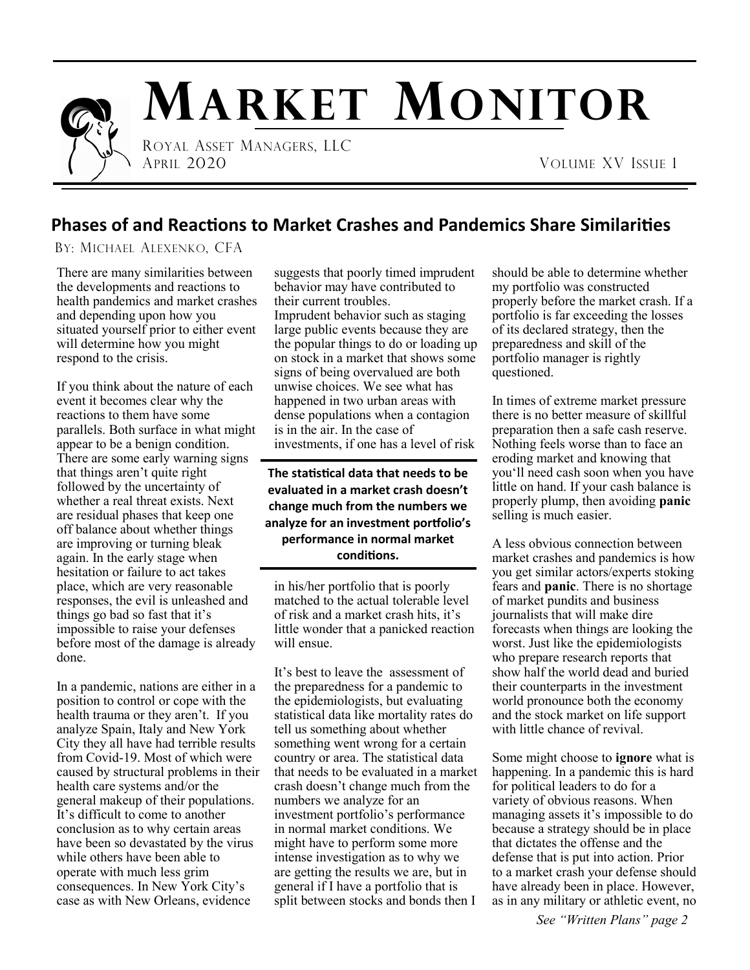# ROYAL ASSET MANAGERS, LLC **MARKET MONITOR**

APRIL 2020 VOLUME XV ISSUE 1

### **Phases of and Reactions to Market Crashes and Pandemics Share Similarities**

BY: MICHAEL ALEXENKO, CFA

There are many similarities between the developments and reactions to health pandemics and market crashes and depending upon how you situated yourself prior to either event will determine how you might respond to the crisis.

If you think about the nature of each event it becomes clear why the reactions to them have some parallels. Both surface in what might appear to be a benign condition. There are some early warning signs that things aren't quite right followed by the uncertainty of whether a real threat exists. Next are residual phases that keep one off balance about whether things are improving or turning bleak again. In the early stage when hesitation or failure to act takes place, which are very reasonable responses, the evil is unleashed and things go bad so fast that it's impossible to raise your defenses before most of the damage is already done.

In a pandemic, nations are either in a position to control or cope with the health trauma or they aren't. If you analyze Spain, Italy and New York City they all have had terrible results from Covid-19. Most of which were caused by structural problems in their health care systems and/or the general makeup of their populations. It's difficult to come to another conclusion as to why certain areas have been so devastated by the virus while others have been able to operate with much less grim consequences. In New York City's case as with New Orleans, evidence

suggests that poorly timed imprudent behavior may have contributed to their current troubles. Imprudent behavior such as staging large public events because they are the popular things to do or loading up on stock in a market that shows some signs of being overvalued are both unwise choices. We see what has happened in two urban areas with dense populations when a contagion is in the air. In the case of investments, if one has a level of risk

**The statistical data that needs to be evaluated in a market crash doesn't change much from the numbers we analyze for an investment portfolio's performance in normal market conditions.** 

in his/her portfolio that is poorly matched to the actual tolerable level of risk and a market crash hits, it's little wonder that a panicked reaction will ensue.

It's best to leave the assessment of the preparedness for a pandemic to the epidemiologists, but evaluating statistical data like mortality rates do tell us something about whether something went wrong for a certain country or area. The statistical data that needs to be evaluated in a market crash doesn't change much from the numbers we analyze for an investment portfolio's performance in normal market conditions. We might have to perform some more intense investigation as to why we are getting the results we are, but in general if I have a portfolio that is split between stocks and bonds then I

should be able to determine whether my portfolio was constructed properly before the market crash. If a portfolio is far exceeding the losses of its declared strategy, then the preparedness and skill of the portfolio manager is rightly questioned.

In times of extreme market pressure there is no better measure of skillful preparation then a safe cash reserve. Nothing feels worse than to face an eroding market and knowing that you'll need cash soon when you have little on hand. If your cash balance is properly plump, then avoiding **panic** selling is much easier.

A less obvious connection between market crashes and pandemics is how you get similar actors/experts stoking fears and **panic**. There is no shortage of market pundits and business journalists that will make dire forecasts when things are looking the worst. Just like the epidemiologists who prepare research reports that show half the world dead and buried their counterparts in the investment world pronounce both the economy and the stock market on life support with little chance of revival.

Some might choose to **ignore** what is happening. In a pandemic this is hard for political leaders to do for a variety of obvious reasons. When managing assets it's impossible to do because a strategy should be in place that dictates the offense and the defense that is put into action. Prior to a market crash your defense should have already been in place. However, as in any military or athletic event, no